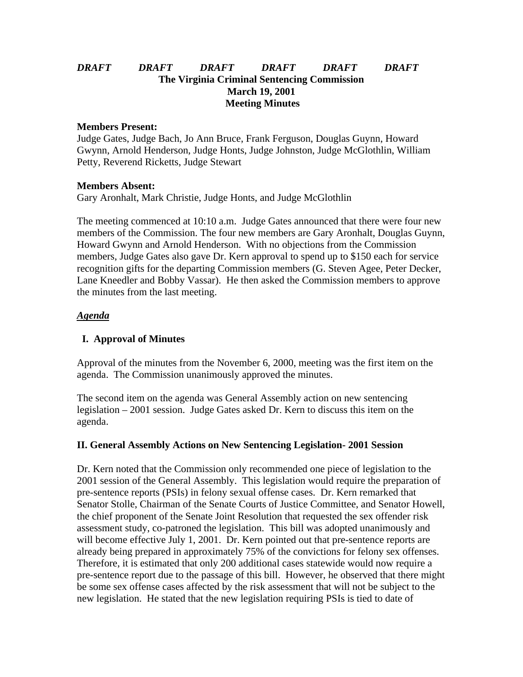### *DRAFT DRAFT DRAFT DRAFT DRAFT DRAFT* **The Virginia Criminal Sentencing Commission March 19, 2001 Meeting Minutes**

#### **Members Present:**

Judge Gates, Judge Bach, Jo Ann Bruce, Frank Ferguson, Douglas Guynn, Howard Gwynn, Arnold Henderson, Judge Honts, Judge Johnston, Judge McGlothlin, William Petty, Reverend Ricketts, Judge Stewart

#### **Members Absent:**

Gary Aronhalt, Mark Christie, Judge Honts, and Judge McGlothlin

The meeting commenced at 10:10 a.m. Judge Gates announced that there were four new members of the Commission. The four new members are Gary Aronhalt, Douglas Guynn, Howard Gwynn and Arnold Henderson. With no objections from the Commission members, Judge Gates also gave Dr. Kern approval to spend up to \$150 each for service recognition gifts for the departing Commission members (G. Steven Agee, Peter Decker, Lane Kneedler and Bobby Vassar). He then asked the Commission members to approve the minutes from the last meeting.

#### *Agenda*

### **I. Approval of Minutes**

Approval of the minutes from the November 6, 2000, meeting was the first item on the agenda. The Commission unanimously approved the minutes.

The second item on the agenda was General Assembly action on new sentencing legislation – 2001 session. Judge Gates asked Dr. Kern to discuss this item on the agenda.

#### **II. General Assembly Actions on New Sentencing Legislation- 2001 Session**

Dr. Kern noted that the Commission only recommended one piece of legislation to the 2001 session of the General Assembly. This legislation would require the preparation of pre-sentence reports (PSIs) in felony sexual offense cases. Dr. Kern remarked that Senator Stolle, Chairman of the Senate Courts of Justice Committee, and Senator Howell, the chief proponent of the Senate Joint Resolution that requested the sex offender risk assessment study, co-patroned the legislation. This bill was adopted unanimously and will become effective July 1, 2001. Dr. Kern pointed out that pre-sentence reports are already being prepared in approximately 75% of the convictions for felony sex offenses. Therefore, it is estimated that only 200 additional cases statewide would now require a pre-sentence report due to the passage of this bill. However, he observed that there might be some sex offense cases affected by the risk assessment that will not be subject to the new legislation. He stated that the new legislation requiring PSIs is tied to date of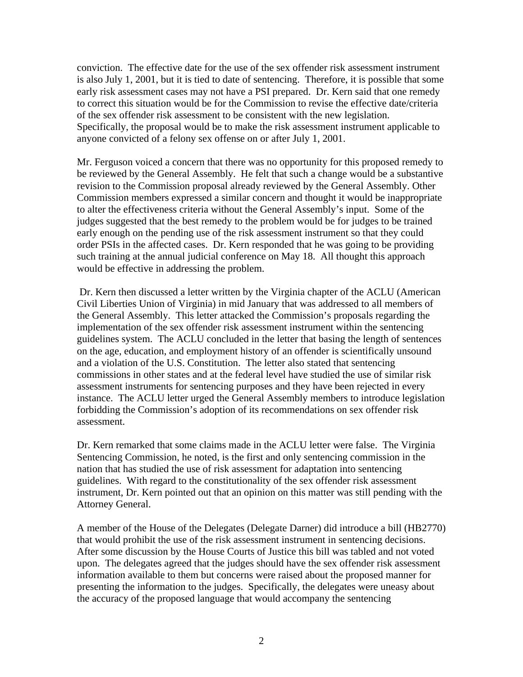conviction. The effective date for the use of the sex offender risk assessment instrument is also July 1, 2001, but it is tied to date of sentencing. Therefore, it is possible that some early risk assessment cases may not have a PSI prepared. Dr. Kern said that one remedy to correct this situation would be for the Commission to revise the effective date/criteria of the sex offender risk assessment to be consistent with the new legislation. Specifically, the proposal would be to make the risk assessment instrument applicable to anyone convicted of a felony sex offense on or after July 1, 2001.

Mr. Ferguson voiced a concern that there was no opportunity for this proposed remedy to be reviewed by the General Assembly. He felt that such a change would be a substantive revision to the Commission proposal already reviewed by the General Assembly. Other Commission members expressed a similar concern and thought it would be inappropriate to alter the effectiveness criteria without the General Assembly's input. Some of the judges suggested that the best remedy to the problem would be for judges to be trained early enough on the pending use of the risk assessment instrument so that they could order PSIs in the affected cases. Dr. Kern responded that he was going to be providing such training at the annual judicial conference on May 18. All thought this approach would be effective in addressing the problem.

 Dr. Kern then discussed a letter written by the Virginia chapter of the ACLU (American Civil Liberties Union of Virginia) in mid January that was addressed to all members of the General Assembly. This letter attacked the Commission's proposals regarding the implementation of the sex offender risk assessment instrument within the sentencing guidelines system. The ACLU concluded in the letter that basing the length of sentences on the age, education, and employment history of an offender is scientifically unsound and a violation of the U.S. Constitution. The letter also stated that sentencing commissions in other states and at the federal level have studied the use of similar risk assessment instruments for sentencing purposes and they have been rejected in every instance. The ACLU letter urged the General Assembly members to introduce legislation forbidding the Commission's adoption of its recommendations on sex offender risk assessment.

Dr. Kern remarked that some claims made in the ACLU letter were false. The Virginia Sentencing Commission, he noted, is the first and only sentencing commission in the nation that has studied the use of risk assessment for adaptation into sentencing guidelines. With regard to the constitutionality of the sex offender risk assessment instrument, Dr. Kern pointed out that an opinion on this matter was still pending with the Attorney General.

A member of the House of the Delegates (Delegate Darner) did introduce a bill (HB2770) that would prohibit the use of the risk assessment instrument in sentencing decisions. After some discussion by the House Courts of Justice this bill was tabled and not voted upon. The delegates agreed that the judges should have the sex offender risk assessment information available to them but concerns were raised about the proposed manner for presenting the information to the judges. Specifically, the delegates were uneasy about the accuracy of the proposed language that would accompany the sentencing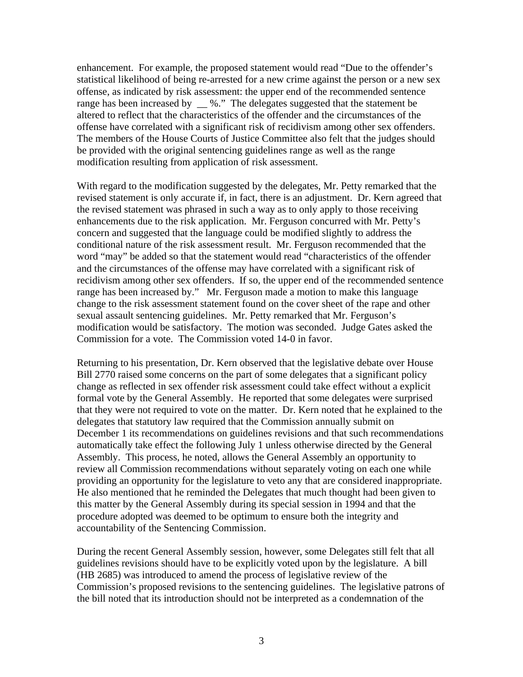enhancement. For example, the proposed statement would read "Due to the offender's statistical likelihood of being re-arrested for a new crime against the person or a new sex offense, as indicated by risk assessment: the upper end of the recommended sentence range has been increased by \_\_%." The delegates suggested that the statement be altered to reflect that the characteristics of the offender and the circumstances of the offense have correlated with a significant risk of recidivism among other sex offenders. The members of the House Courts of Justice Committee also felt that the judges should be provided with the original sentencing guidelines range as well as the range modification resulting from application of risk assessment.

With regard to the modification suggested by the delegates, Mr. Petty remarked that the revised statement is only accurate if, in fact, there is an adjustment. Dr. Kern agreed that the revised statement was phrased in such a way as to only apply to those receiving enhancements due to the risk application. Mr. Ferguson concurred with Mr. Petty's concern and suggested that the language could be modified slightly to address the conditional nature of the risk assessment result. Mr. Ferguson recommended that the word "may" be added so that the statement would read "characteristics of the offender and the circumstances of the offense may have correlated with a significant risk of recidivism among other sex offenders. If so, the upper end of the recommended sentence range has been increased by." Mr. Ferguson made a motion to make this language change to the risk assessment statement found on the cover sheet of the rape and other sexual assault sentencing guidelines. Mr. Petty remarked that Mr. Ferguson's modification would be satisfactory. The motion was seconded. Judge Gates asked the Commission for a vote. The Commission voted 14-0 in favor.

Returning to his presentation, Dr. Kern observed that the legislative debate over House Bill 2770 raised some concerns on the part of some delegates that a significant policy change as reflected in sex offender risk assessment could take effect without a explicit formal vote by the General Assembly. He reported that some delegates were surprised that they were not required to vote on the matter. Dr. Kern noted that he explained to the delegates that statutory law required that the Commission annually submit on December 1 its recommendations on guidelines revisions and that such recommendations automatically take effect the following July 1 unless otherwise directed by the General Assembly. This process, he noted, allows the General Assembly an opportunity to review all Commission recommendations without separately voting on each one while providing an opportunity for the legislature to veto any that are considered inappropriate. He also mentioned that he reminded the Delegates that much thought had been given to this matter by the General Assembly during its special session in 1994 and that the procedure adopted was deemed to be optimum to ensure both the integrity and accountability of the Sentencing Commission.

During the recent General Assembly session, however, some Delegates still felt that all guidelines revisions should have to be explicitly voted upon by the legislature. A bill (HB 2685) was introduced to amend the process of legislative review of the Commission's proposed revisions to the sentencing guidelines. The legislative patrons of the bill noted that its introduction should not be interpreted as a condemnation of the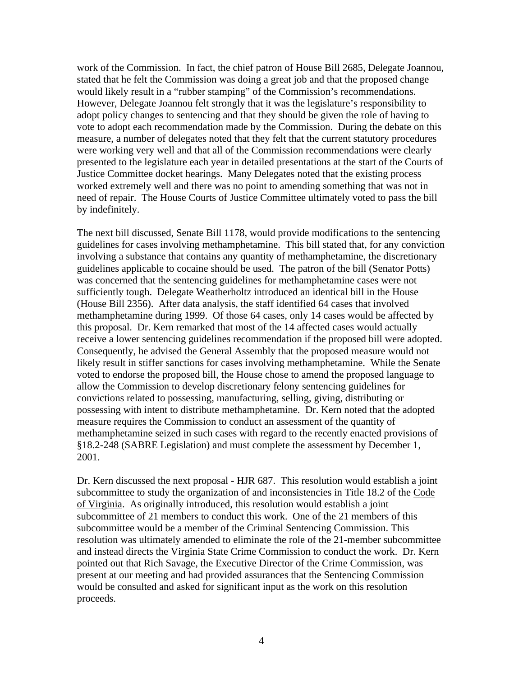work of the Commission. In fact, the chief patron of House Bill 2685, Delegate Joannou, stated that he felt the Commission was doing a great job and that the proposed change would likely result in a "rubber stamping" of the Commission's recommendations. However, Delegate Joannou felt strongly that it was the legislature's responsibility to adopt policy changes to sentencing and that they should be given the role of having to vote to adopt each recommendation made by the Commission. During the debate on this measure, a number of delegates noted that they felt that the current statutory procedures were working very well and that all of the Commission recommendations were clearly presented to the legislature each year in detailed presentations at the start of the Courts of Justice Committee docket hearings. Many Delegates noted that the existing process worked extremely well and there was no point to amending something that was not in need of repair. The House Courts of Justice Committee ultimately voted to pass the bill by indefinitely.

The next bill discussed, Senate Bill 1178, would provide modifications to the sentencing guidelines for cases involving methamphetamine. This bill stated that, for any conviction involving a substance that contains any quantity of methamphetamine, the discretionary guidelines applicable to cocaine should be used. The patron of the bill (Senator Potts) was concerned that the sentencing guidelines for methamphetamine cases were not sufficiently tough. Delegate Weatherholtz introduced an identical bill in the House (House Bill 2356). After data analysis, the staff identified 64 cases that involved methamphetamine during 1999. Of those 64 cases, only 14 cases would be affected by this proposal. Dr. Kern remarked that most of the 14 affected cases would actually receive a lower sentencing guidelines recommendation if the proposed bill were adopted. Consequently, he advised the General Assembly that the proposed measure would not likely result in stiffer sanctions for cases involving methamphetamine. While the Senate voted to endorse the proposed bill, the House chose to amend the proposed language to allow the Commission to develop discretionary felony sentencing guidelines for convictions related to possessing, manufacturing, selling, giving, distributing or possessing with intent to distribute methamphetamine. Dr. Kern noted that the adopted measure requires the Commission to conduct an assessment of the quantity of methamphetamine seized in such cases with regard to the recently enacted provisions of §18.2-248 (SABRE Legislation) and must complete the assessment by December 1, 2001.

Dr. Kern discussed the next proposal - HJR 687. This resolution would establish a joint subcommittee to study the organization of and inconsistencies in Title 18.2 of the Code of Virginia. As originally introduced, this resolution would establish a joint subcommittee of 21 members to conduct this work. One of the 21 members of this subcommittee would be a member of the Criminal Sentencing Commission. This resolution was ultimately amended to eliminate the role of the 21-member subcommittee and instead directs the Virginia State Crime Commission to conduct the work. Dr. Kern pointed out that Rich Savage, the Executive Director of the Crime Commission, was present at our meeting and had provided assurances that the Sentencing Commission would be consulted and asked for significant input as the work on this resolution proceeds.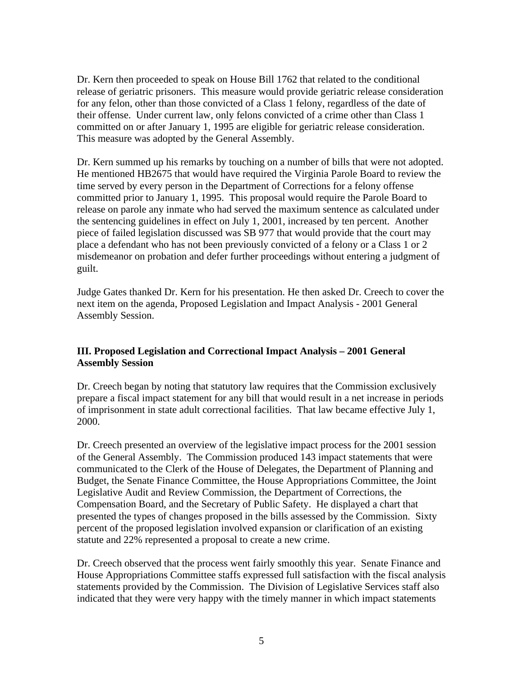Dr. Kern then proceeded to speak on House Bill 1762 that related to the conditional release of geriatric prisoners. This measure would provide geriatric release consideration for any felon, other than those convicted of a Class 1 felony, regardless of the date of their offense. Under current law, only felons convicted of a crime other than Class 1 committed on or after January 1, 1995 are eligible for geriatric release consideration. This measure was adopted by the General Assembly.

Dr. Kern summed up his remarks by touching on a number of bills that were not adopted. He mentioned HB2675 that would have required the Virginia Parole Board to review the time served by every person in the Department of Corrections for a felony offense committed prior to January 1, 1995. This proposal would require the Parole Board to release on parole any inmate who had served the maximum sentence as calculated under the sentencing guidelines in effect on July 1, 2001, increased by ten percent. Another piece of failed legislation discussed was SB 977 that would provide that the court may place a defendant who has not been previously convicted of a felony or a Class 1 or 2 misdemeanor on probation and defer further proceedings without entering a judgment of guilt.

Judge Gates thanked Dr. Kern for his presentation. He then asked Dr. Creech to cover the next item on the agenda, Proposed Legislation and Impact Analysis - 2001 General Assembly Session.

### **III. Proposed Legislation and Correctional Impact Analysis – 2001 General Assembly Session**

Dr. Creech began by noting that statutory law requires that the Commission exclusively prepare a fiscal impact statement for any bill that would result in a net increase in periods of imprisonment in state adult correctional facilities. That law became effective July 1, 2000.

Dr. Creech presented an overview of the legislative impact process for the 2001 session of the General Assembly. The Commission produced 143 impact statements that were communicated to the Clerk of the House of Delegates, the Department of Planning and Budget, the Senate Finance Committee, the House Appropriations Committee, the Joint Legislative Audit and Review Commission, the Department of Corrections, the Compensation Board, and the Secretary of Public Safety. He displayed a chart that presented the types of changes proposed in the bills assessed by the Commission. Sixty percent of the proposed legislation involved expansion or clarification of an existing statute and 22% represented a proposal to create a new crime.

Dr. Creech observed that the process went fairly smoothly this year. Senate Finance and House Appropriations Committee staffs expressed full satisfaction with the fiscal analysis statements provided by the Commission. The Division of Legislative Services staff also indicated that they were very happy with the timely manner in which impact statements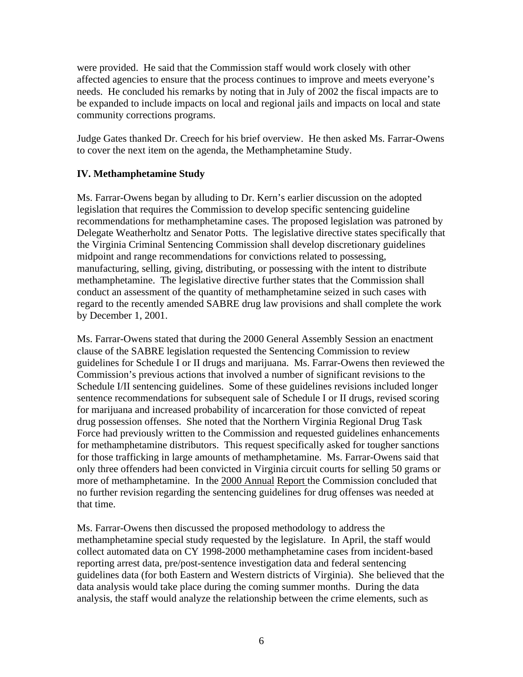were provided. He said that the Commission staff would work closely with other affected agencies to ensure that the process continues to improve and meets everyone's needs. He concluded his remarks by noting that in July of 2002 the fiscal impacts are to be expanded to include impacts on local and regional jails and impacts on local and state community corrections programs.

Judge Gates thanked Dr. Creech for his brief overview. He then asked Ms. Farrar-Owens to cover the next item on the agenda, the Methamphetamine Study.

# **IV. Methamphetamine Study**

Ms. Farrar-Owens began by alluding to Dr. Kern's earlier discussion on the adopted legislation that requires the Commission to develop specific sentencing guideline recommendations for methamphetamine cases. The proposed legislation was patroned by Delegate Weatherholtz and Senator Potts. The legislative directive states specifically that the Virginia Criminal Sentencing Commission shall develop discretionary guidelines midpoint and range recommendations for convictions related to possessing, manufacturing, selling, giving, distributing, or possessing with the intent to distribute methamphetamine. The legislative directive further states that the Commission shall conduct an assessment of the quantity of methamphetamine seized in such cases with regard to the recently amended SABRE drug law provisions and shall complete the work by December 1, 2001.

Ms. Farrar-Owens stated that during the 2000 General Assembly Session an enactment clause of the SABRE legislation requested the Sentencing Commission to review guidelines for Schedule I or II drugs and marijuana. Ms. Farrar-Owens then reviewed the Commission's previous actions that involved a number of significant revisions to the Schedule I/II sentencing guidelines. Some of these guidelines revisions included longer sentence recommendations for subsequent sale of Schedule I or II drugs, revised scoring for marijuana and increased probability of incarceration for those convicted of repeat drug possession offenses. She noted that the Northern Virginia Regional Drug Task Force had previously written to the Commission and requested guidelines enhancements for methamphetamine distributors. This request specifically asked for tougher sanctions for those trafficking in large amounts of methamphetamine. Ms. Farrar-Owens said that only three offenders had been convicted in Virginia circuit courts for selling 50 grams or more of methamphetamine. In the 2000 Annual Report the Commission concluded that no further revision regarding the sentencing guidelines for drug offenses was needed at that time.

Ms. Farrar-Owens then discussed the proposed methodology to address the methamphetamine special study requested by the legislature. In April, the staff would collect automated data on CY 1998-2000 methamphetamine cases from incident-based reporting arrest data, pre/post-sentence investigation data and federal sentencing guidelines data (for both Eastern and Western districts of Virginia). She believed that the data analysis would take place during the coming summer months. During the data analysis, the staff would analyze the relationship between the crime elements, such as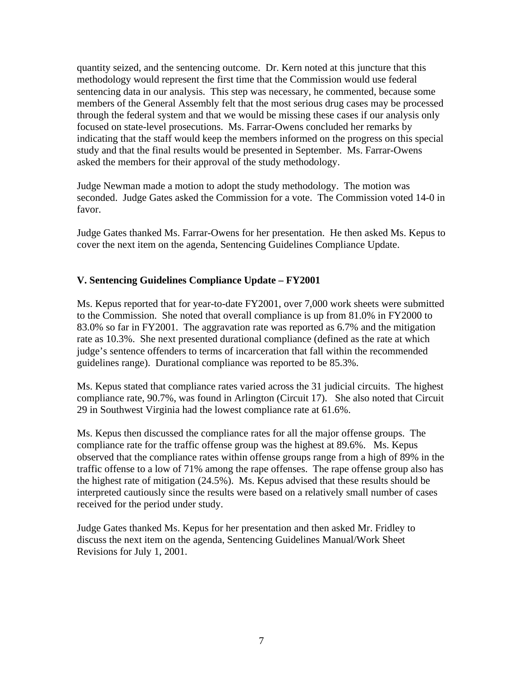quantity seized, and the sentencing outcome. Dr. Kern noted at this juncture that this methodology would represent the first time that the Commission would use federal sentencing data in our analysis. This step was necessary, he commented, because some members of the General Assembly felt that the most serious drug cases may be processed through the federal system and that we would be missing these cases if our analysis only focused on state-level prosecutions. Ms. Farrar-Owens concluded her remarks by indicating that the staff would keep the members informed on the progress on this special study and that the final results would be presented in September. Ms. Farrar-Owens asked the members for their approval of the study methodology.

Judge Newman made a motion to adopt the study methodology. The motion was seconded. Judge Gates asked the Commission for a vote. The Commission voted 14-0 in favor.

Judge Gates thanked Ms. Farrar-Owens for her presentation. He then asked Ms. Kepus to cover the next item on the agenda, Sentencing Guidelines Compliance Update.

### **V. Sentencing Guidelines Compliance Update – FY2001**

Ms. Kepus reported that for year-to-date FY2001, over 7,000 work sheets were submitted to the Commission. She noted that overall compliance is up from 81.0% in FY2000 to 83.0% so far in FY2001. The aggravation rate was reported as 6.7% and the mitigation rate as 10.3%. She next presented durational compliance (defined as the rate at which judge's sentence offenders to terms of incarceration that fall within the recommended guidelines range). Durational compliance was reported to be 85.3%.

Ms. Kepus stated that compliance rates varied across the 31 judicial circuits. The highest compliance rate, 90.7%, was found in Arlington (Circuit 17). She also noted that Circuit 29 in Southwest Virginia had the lowest compliance rate at 61.6%.

Ms. Kepus then discussed the compliance rates for all the major offense groups. The compliance rate for the traffic offense group was the highest at 89.6%. Ms. Kepus observed that the compliance rates within offense groups range from a high of 89% in the traffic offense to a low of 71% among the rape offenses. The rape offense group also has the highest rate of mitigation (24.5%). Ms. Kepus advised that these results should be interpreted cautiously since the results were based on a relatively small number of cases received for the period under study.

Judge Gates thanked Ms. Kepus for her presentation and then asked Mr. Fridley to discuss the next item on the agenda, Sentencing Guidelines Manual/Work Sheet Revisions for July 1, 2001.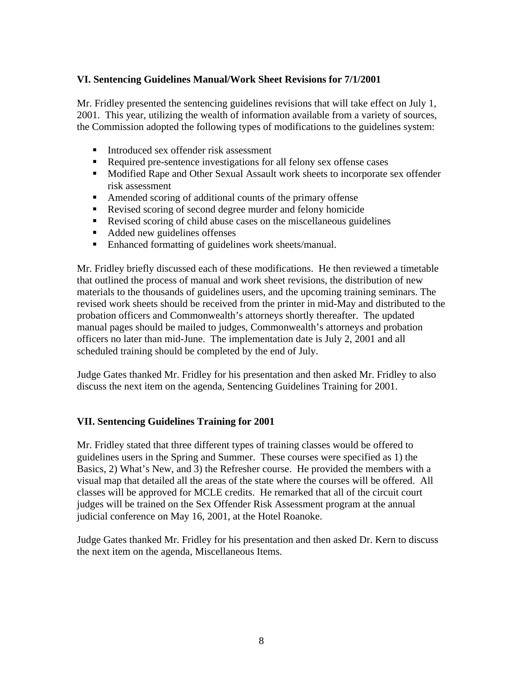### **VI. Sentencing Guidelines Manual/Work Sheet Revisions for 7/1/2001**

Mr. Fridley presented the sentencing guidelines revisions that will take effect on July 1, 2001. This year, utilizing the wealth of information available from a variety of sources, the Commission adopted the following types of modifications to the guidelines system:

- $\blacksquare$  Introduced sex offender risk assessment
- Required pre-sentence investigations for all felony sex offense cases
- **Modified Rape and Other Sexual Assault work sheets to incorporate sex offender** risk assessment
- $\blacksquare$  Amended scoring of additional counts of the primary offense
- Revised scoring of second degree murder and felony homicide
- Revised scoring of child abuse cases on the miscellaneous guidelines
- Added new guidelines offenses
- Enhanced formatting of guidelines work sheets/manual.

Mr. Fridley briefly discussed each of these modifications. He then reviewed a timetable that outlined the process of manual and work sheet revisions, the distribution of new materials to the thousands of guidelines users, and the upcoming training seminars. The revised work sheets should be received from the printer in mid-May and distributed to the probation officers and Commonwealth's attorneys shortly thereafter. The updated manual pages should be mailed to judges, Commonwealth's attorneys and probation officers no later than mid-June. The implementation date is July 2, 2001 and all scheduled training should be completed by the end of July.

Judge Gates thanked Mr. Fridley for his presentation and then asked Mr. Fridley to also discuss the next item on the agenda, Sentencing Guidelines Training for 2001.

## **VII. Sentencing Guidelines Training for 2001**

Mr. Fridley stated that three different types of training classes would be offered to guidelines users in the Spring and Summer. These courses were specified as 1) the Basics, 2) What's New, and 3) the Refresher course. He provided the members with a visual map that detailed all the areas of the state where the courses will be offered. All classes will be approved for MCLE credits. He remarked that all of the circuit court judges will be trained on the Sex Offender Risk Assessment program at the annual judicial conference on May 16, 2001, at the Hotel Roanoke.

Judge Gates thanked Mr. Fridley for his presentation and then asked Dr. Kern to discuss the next item on the agenda, Miscellaneous Items.